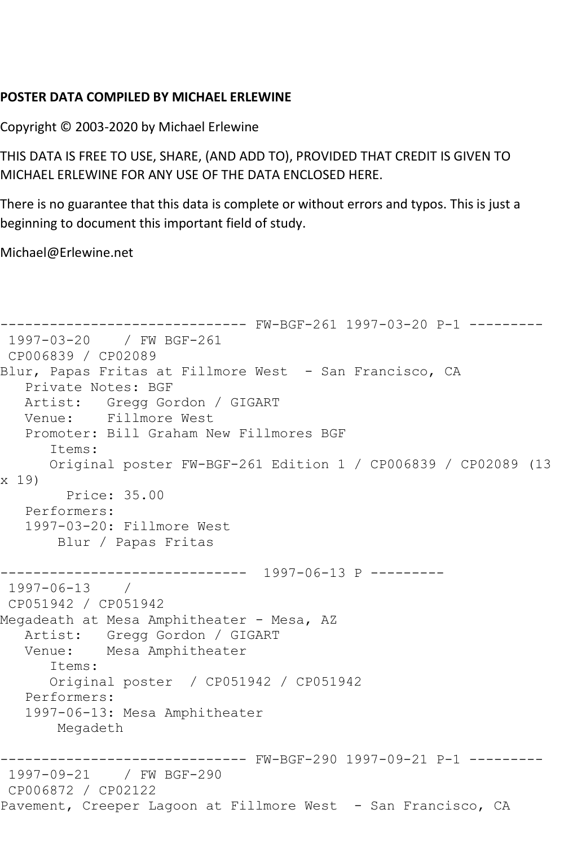## **POSTER DATA COMPILED BY MICHAEL ERLEWINE**

Copyright © 2003-2020 by Michael Erlewine

THIS DATA IS FREE TO USE, SHARE, (AND ADD TO), PROVIDED THAT CREDIT IS GIVEN TO MICHAEL ERLEWINE FOR ANY USE OF THE DATA ENCLOSED HERE.

There is no guarantee that this data is complete or without errors and typos. This is just a beginning to document this important field of study.

Michael@Erlewine.net

```
------------------------------ FW-BGF-261 1997-03-20 P-1 ---------
1997-03-20 / FW BGF-261
CP006839 / CP02089
Blur, Papas Fritas at Fillmore West - San Francisco, CA
   Private Notes: BGF
   Artist: Gregg Gordon / GIGART
   Venue: Fillmore West
   Promoter: Bill Graham New Fillmores BGF
       Items:
       Original poster FW-BGF-261 Edition 1 / CP006839 / CP02089 (13 
x 19)
         Price: 35.00
   Performers:
   1997-03-20: Fillmore West
        Blur / Papas Fritas
------------------------------ 1997-06-13 P ---------
1997-06-13 / 
CP051942 / CP051942
Megadeath at Mesa Amphitheater - Mesa, AZ
  Artist: Gregg Gordon / GIGART<br>Venue: Mesa Amphitheater
            Mesa Amphitheater
       Items:
       Original poster / CP051942 / CP051942
   Performers:
    1997-06-13: Mesa Amphitheater
        Megadeth
      ------------------------------ FW-BGF-290 1997-09-21 P-1 ---------
1997-09-21 / FW BGF-290
CP006872 / CP02122
Pavement, Creeper Lagoon at Fillmore West - San Francisco, CA
```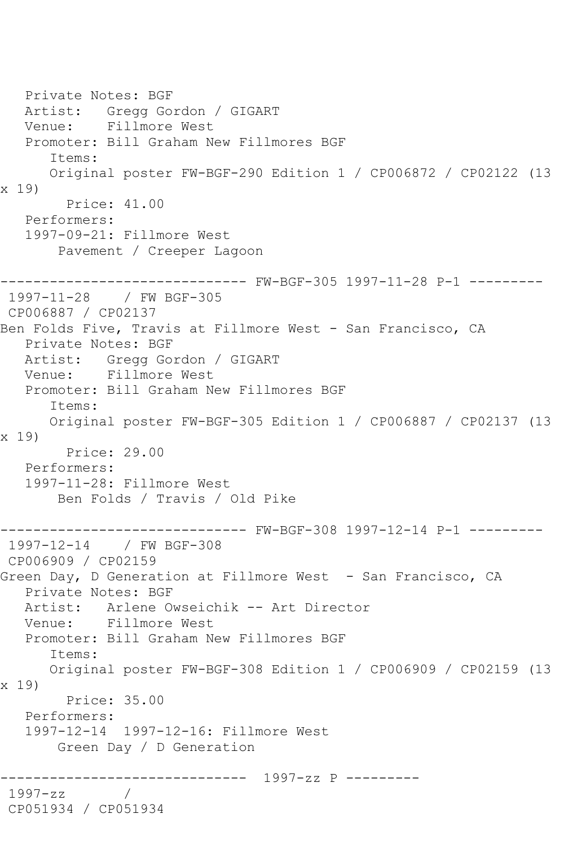Private Notes: BGF Artist: Gregg Gordon / GIGART Venue: Fillmore West Promoter: Bill Graham New Fillmores BGF Items: Original poster FW-BGF-290 Edition 1 / CP006872 / CP02122 (13 x 19) Price: 41.00 Performers: 1997-09-21: Fillmore West Pavement / Creeper Lagoon ------------------------------ FW-BGF-305 1997-11-28 P-1 --------- 1997-11-28 / FW BGF-305 CP006887 / CP02137 Ben Folds Five, Travis at Fillmore West - San Francisco, CA Private Notes: BGF Artist: Gregg Gordon / GIGART<br>Venue: Fillmore West Fillmore West Promoter: Bill Graham New Fillmores BGF Items: Original poster FW-BGF-305 Edition 1 / CP006887 / CP02137 (13 x 19) Price: 29.00 Performers: 1997-11-28: Fillmore West Ben Folds / Travis / Old Pike ------------------------------ FW-BGF-308 1997-12-14 P-1 --------- 1997-12-14 / FW BGF-308 CP006909 / CP02159 Green Day, D Generation at Fillmore West - San Francisco, CA Private Notes: BGF<br>Artist: Arlene O Arlene Owseichik -- Art Director Venue: Fillmore West Promoter: Bill Graham New Fillmores BGF Items: Original poster FW-BGF-308 Edition 1 / CP006909 / CP02159 (13 x 19) Price: 35.00 Performers: 1997-12-14 1997-12-16: Fillmore West Green Day / D Generation ------------------------------ 1997-zz P --------- 1997-zz / CP051934 / CP051934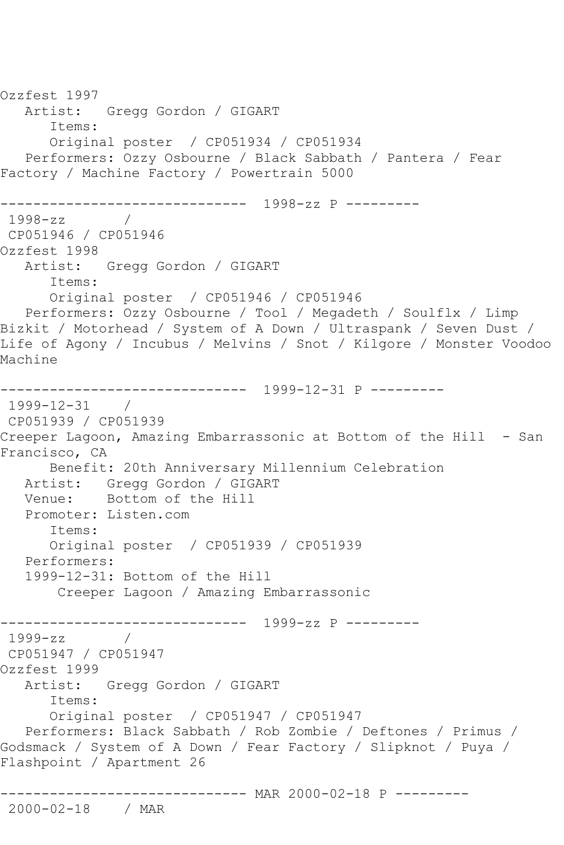Ozzfest 1997 Artist: Gregg Gordon / GIGART Items: Original poster / CP051934 / CP051934 Performers: Ozzy Osbourne / Black Sabbath / Pantera / Fear Factory / Machine Factory / Powertrain 5000 ------------------------------ 1998-zz P --------- 1998-zz / CP051946 / CP051946 Ozzfest 1998 Artist: Gregg Gordon / GIGART Items: Original poster / CP051946 / CP051946 Performers: Ozzy Osbourne / Tool / Megadeth / Soulflx / Limp Bizkit / Motorhead / System of A Down / Ultraspank / Seven Dust / Life of Agony / Incubus / Melvins / Snot / Kilgore / Monster Voodoo Machine ------------------------------ 1999-12-31 P --------- 1999-12-31 / CP051939 / CP051939 Creeper Lagoon, Amazing Embarrassonic at Bottom of the Hill - San Francisco, CA Benefit: 20th Anniversary Millennium Celebration Artist: Gregg Gordon / GIGART Venue: Bottom of the Hill Promoter: Listen.com Items: Original poster / CP051939 / CP051939 Performers: 1999-12-31: Bottom of the Hill Creeper Lagoon / Amazing Embarrassonic ------------------------------ 1999-zz P --------- 1999-zz / CP051947 / CP051947 Ozzfest 1999 Artist: Gregg Gordon / GIGART Items: Original poster / CP051947 / CP051947 Performers: Black Sabbath / Rob Zombie / Deftones / Primus / Godsmack / System of A Down / Fear Factory / Slipknot / Puya / Flashpoint / Apartment 26 ------------------------------ MAR 2000-02-18 P --------- 2000-02-18 / MAR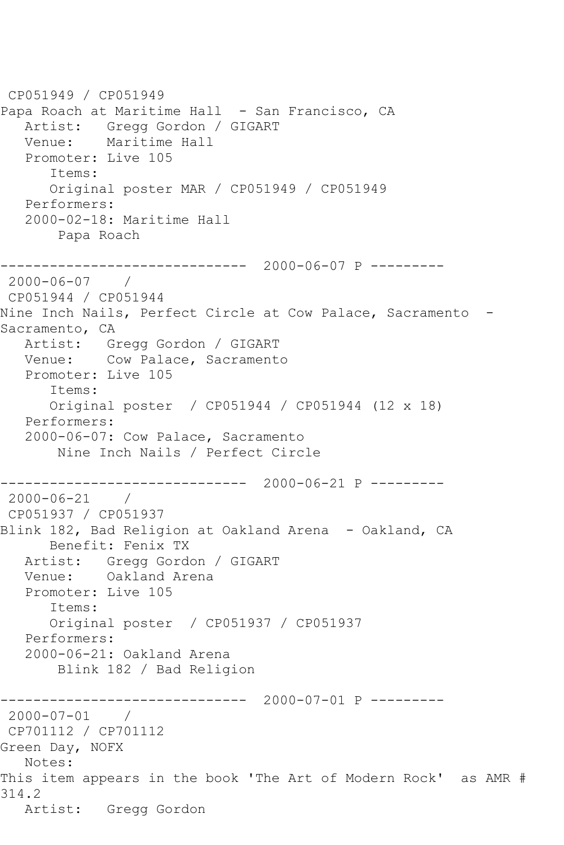CP051949 / CP051949 Papa Roach at Maritime Hall - San Francisco, CA Artist: Gregg Gordon / GIGART Venue: Maritime Hall Promoter: Live 105 Items: Original poster MAR / CP051949 / CP051949 Performers: 2000-02-18: Maritime Hall Papa Roach ------------------------------ 2000-06-07 P --------- 2000-06-07 / CP051944 / CP051944 Nine Inch Nails, Perfect Circle at Cow Palace, Sacramento - Sacramento, CA Artist: Gregg Gordon / GIGART Venue: Cow Palace, Sacramento Promoter: Live 105 Items: Original poster / CP051944 / CP051944 (12 x 18) Performers: 2000-06-07: Cow Palace, Sacramento Nine Inch Nails / Perfect Circle ------------------------------ 2000-06-21 P --------- 2000-06-21 / CP051937 / CP051937 Blink 182, Bad Religion at Oakland Arena - Oakland, CA Benefit: Fenix TX Artist: Gregg Gordon / GIGART Venue: Oakland Arena Promoter: Live 105 Items: Original poster / CP051937 / CP051937 Performers: 2000-06-21: Oakland Arena Blink 182 / Bad Religion ------------------------------ 2000-07-01 P --------- 2000-07-01 / CP701112 / CP701112 Green Day, NOFX Notes: This item appears in the book 'The Art of Modern Rock' as AMR # 314.2 Artist: Gregg Gordon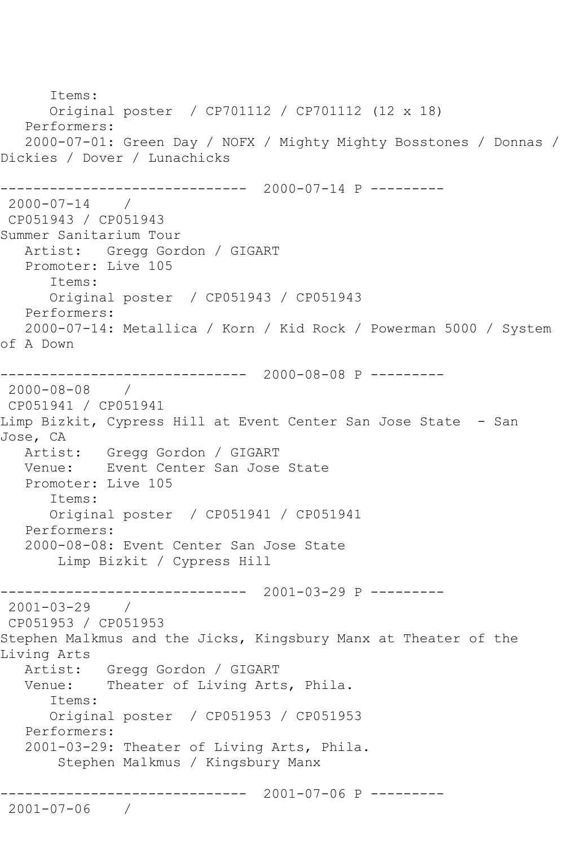Items: Original poster / CP701112 / CP701112 (12 x 18) Performers: 2000-07-01: Green Day / NOFX / Mighty Mighty Bosstones / Donnas / Dickies / Dover / Lunachicks ------------------------------ 2000-07-14 P --------- 2000-07-14 / CP051943 / CP051943 Summer Sanitarium Tour Artist: Gregg Gordon / GIGART Promoter: Live 105 Items: Original poster / CP051943 / CP051943 Performers: 2000-07-14: Metallica / Korn / Kid Rock / Powerman 5000 / System of A Down ------------------------------ 2000-08-08 P --------- 2000-08-08 / CP051941 / CP051941 Limp Bizkit, Cypress Hill at Event Center San Jose State - San Jose, CA Artist: Gregg Gordon / GIGART Venue: Event Center San Jose State Promoter: Live 105 Items: Original poster / CP051941 / CP051941 Performers: 2000-08-08: Event Center San Jose State Limp Bizkit / Cypress Hill ------------------------------ 2001-03-29 P --------- 2001-03-29 / CP051953 / CP051953 Stephen Malkmus and the Jicks, Kingsbury Manx at Theater of the Living Arts Artist: Gregg Gordon / GIGART Venue: Theater of Living Arts, Phila. Items: Original poster / CP051953 / CP051953 Performers: 2001-03-29: Theater of Living Arts, Phila. Stephen Malkmus / Kingsbury Manx ------------------------------ 2001-07-06 P --------- 2001-07-06 /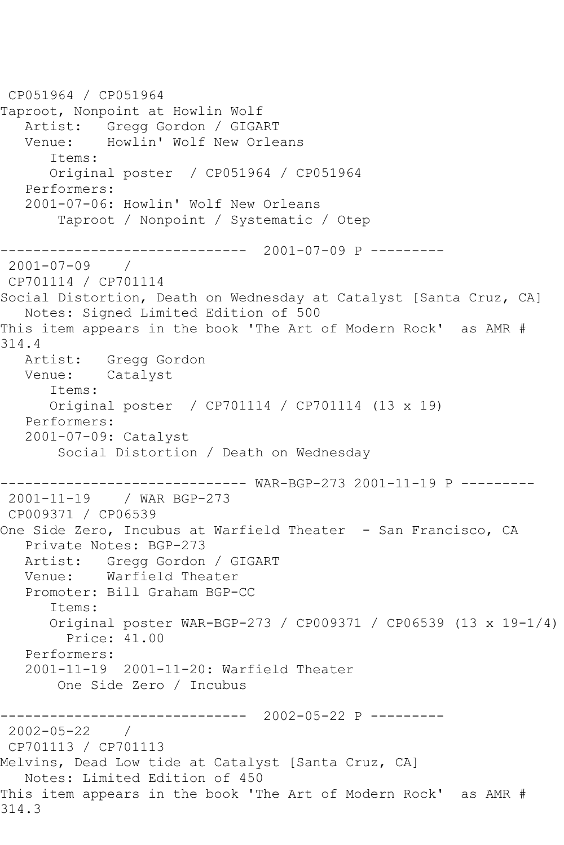CP051964 / CP051964 Taproot, Nonpoint at Howlin Wolf Artist: Gregg Gordon / GIGART Venue: Howlin' Wolf New Orleans Items: Original poster / CP051964 / CP051964 Performers: 2001-07-06: Howlin' Wolf New Orleans Taproot / Nonpoint / Systematic / Otep ------------------------------ 2001-07-09 P --------- 2001-07-09 / CP701114 / CP701114 Social Distortion, Death on Wednesday at Catalyst [Santa Cruz, CA] Notes: Signed Limited Edition of 500 This item appears in the book 'The Art of Modern Rock' as AMR # 314.4 Artist: Gregg Gordon Venue: Catalyst Items: Original poster / CP701114 / CP701114 (13 x 19) Performers: 2001-07-09: Catalyst Social Distortion / Death on Wednesday ------------------------------ WAR-BGP-273 2001-11-19 P --------- 2001-11-19 / WAR BGP-273 CP009371 / CP06539 One Side Zero, Incubus at Warfield Theater - San Francisco, CA Private Notes: BGP-273 Artist: Gregg Gordon / GIGART Venue: Warfield Theater Promoter: Bill Graham BGP-CC Items: Original poster WAR-BGP-273 / CP009371 / CP06539 (13 x 19-1/4) Price: 41.00 Performers: 2001-11-19 2001-11-20: Warfield Theater One Side Zero / Incubus ------------------------------ 2002-05-22 P --------- 2002-05-22 / CP701113 / CP701113 Melvins, Dead Low tide at Catalyst [Santa Cruz, CA] Notes: Limited Edition of 450 This item appears in the book 'The Art of Modern Rock' as AMR # 314.3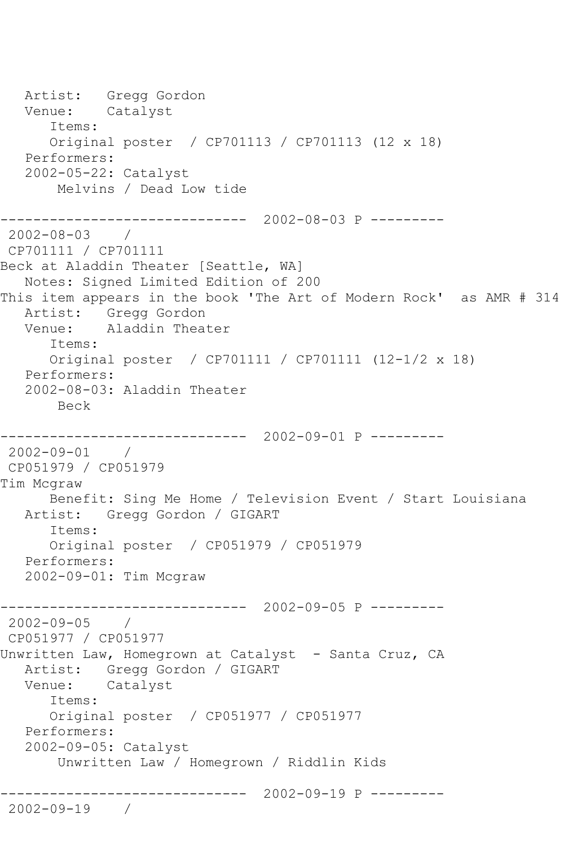Artist: Gregg Gordon Venue: Catalyst Items: Original poster / CP701113 / CP701113 (12 x 18) Performers: 2002-05-22: Catalyst Melvins / Dead Low tide ------------------------------ 2002-08-03 P --------- 2002-08-03 / CP701111 / CP701111 Beck at Aladdin Theater [Seattle, WA] Notes: Signed Limited Edition of 200 This item appears in the book 'The Art of Modern Rock' as AMR # 314 Artist: Gregg Gordon Venue: Aladdin Theater Items: Original poster / CP701111 / CP701111 (12-1/2 x 18) Performers: 2002-08-03: Aladdin Theater Beck ------------------------------ 2002-09-01 P --------- 2002-09-01 / CP051979 / CP051979 Tim Mcgraw Benefit: Sing Me Home / Television Event / Start Louisiana Artist: Gregg Gordon / GIGART Items: Original poster / CP051979 / CP051979 Performers: 2002-09-01: Tim Mcgraw ------------------------------ 2002-09-05 P --------- 2002-09-05 / CP051977 / CP051977 Unwritten Law, Homegrown at Catalyst - Santa Cruz, CA Artist: Gregg Gordon / GIGART Venue: Catalyst Items: Original poster / CP051977 / CP051977 Performers: 2002-09-05: Catalyst Unwritten Law / Homegrown / Riddlin Kids ------------------------------ 2002-09-19 P --------- 2002-09-19 /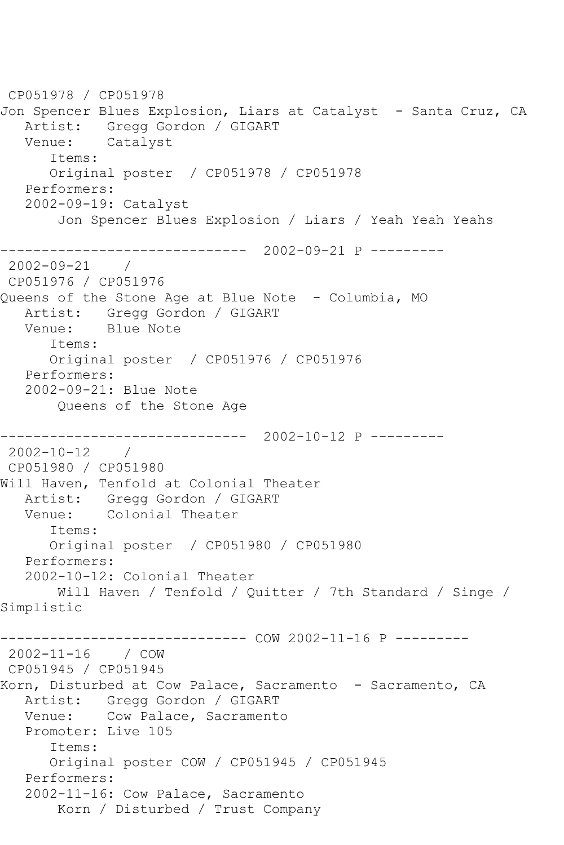CP051978 / CP051978 Jon Spencer Blues Explosion, Liars at Catalyst - Santa Cruz, CA Artist: Gregg Gordon / GIGART Venue: Catalyst Items: Original poster / CP051978 / CP051978 Performers: 2002-09-19: Catalyst Jon Spencer Blues Explosion / Liars / Yeah Yeah Yeahs ------------------------------ 2002-09-21 P --------- 2002-09-21 / CP051976 / CP051976 Queens of the Stone Age at Blue Note - Columbia, MO Artist: Gregg Gordon / GIGART Venue: Blue Note Items: Original poster / CP051976 / CP051976 Performers: 2002-09-21: Blue Note Queens of the Stone Age ------------------------------ 2002-10-12 P --------- 2002-10-12 / CP051980 / CP051980 Will Haven, Tenfold at Colonial Theater Artist: Gregg Gordon / GIGART Venue: Colonial Theater Items: Original poster / CP051980 / CP051980 Performers: 2002-10-12: Colonial Theater Will Haven / Tenfold / Quitter / 7th Standard / Singe / Simplistic ------------------------------ COW 2002-11-16 P --------- 2002-11-16 / COW CP051945 / CP051945 Korn, Disturbed at Cow Palace, Sacramento - Sacramento, CA Artist: Gregg Gordon / GIGART Venue: Cow Palace, Sacramento Promoter: Live 105 Items: Original poster COW / CP051945 / CP051945 Performers: 2002-11-16: Cow Palace, Sacramento Korn / Disturbed / Trust Company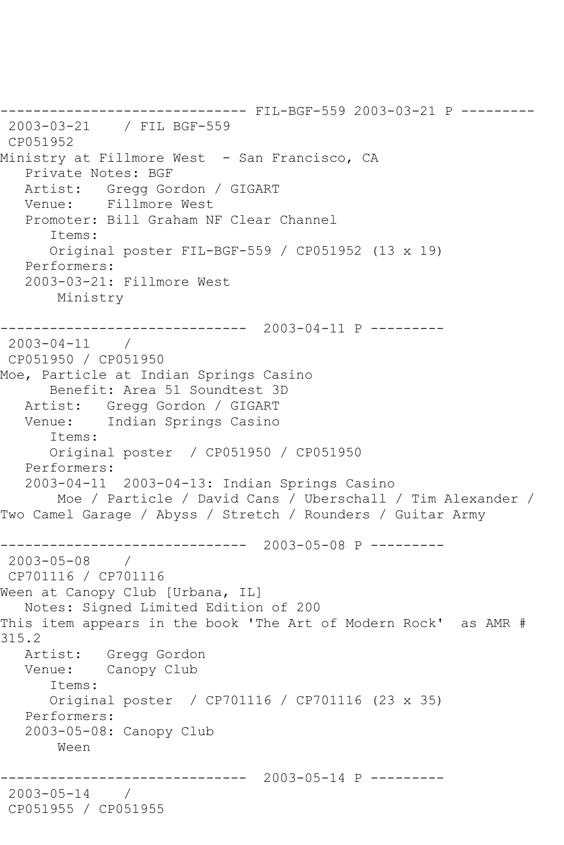------------------------------ FIL-BGF-559 2003-03-21 P --------- 2003-03-21 / FIL BGF-559 CP051952 Ministry at Fillmore West - San Francisco, CA Private Notes: BGF Artist: Gregg Gordon / GIGART Venue: Fillmore West Promoter: Bill Graham NF Clear Channel Items: Original poster FIL-BGF-559 / CP051952 (13 x 19) Performers: 2003-03-21: Fillmore West Ministry ------------------------------ 2003-04-11 P --------- 2003-04-11 / CP051950 / CP051950 Moe, Particle at Indian Springs Casino Benefit: Area 51 Soundtest 3D Artist: Gregg Gordon / GIGART Venue: Indian Springs Casino Items: Original poster / CP051950 / CP051950 Performers: 2003-04-11 2003-04-13: Indian Springs Casino Moe / Particle / David Cans / Uberschall / Tim Alexander / Two Camel Garage / Abyss / Stretch / Rounders / Guitar Army ------------------------------ 2003-05-08 P --------- 2003-05-08 / CP701116 / CP701116 Ween at Canopy Club [Urbana, IL] Notes: Signed Limited Edition of 200 This item appears in the book 'The Art of Modern Rock' as AMR # 315.2 Artist: Gregg Gordon Venue: Canopy Club Items: Original poster / CP701116 / CP701116 (23 x 35) Performers: 2003-05-08: Canopy Club Ween ------------------------------ 2003-05-14 P --------- 2003-05-14 / CP051955 / CP051955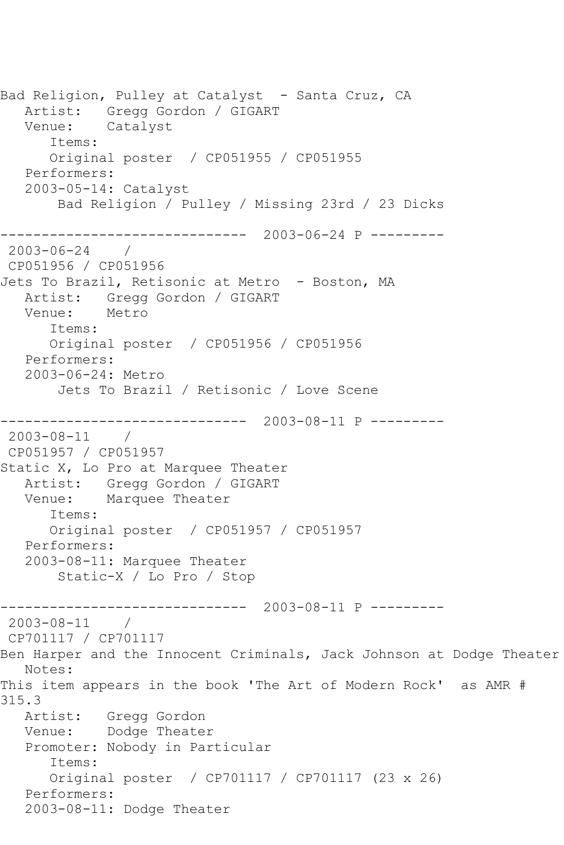Bad Religion, Pulley at Catalyst - Santa Cruz, CA Artist: Gregg Gordon / GIGART Venue: Catalyst Items: Original poster / CP051955 / CP051955 Performers: 2003-05-14: Catalyst Bad Religion / Pulley / Missing 23rd / 23 Dicks ------------------------------ 2003-06-24 P --------- 2003-06-24 / CP051956 / CP051956 Jets To Brazil, Retisonic at Metro - Boston, MA Artist: Gregg Gordon / GIGART Venue: Metro Items: Original poster / CP051956 / CP051956 Performers: 2003-06-24: Metro Jets To Brazil / Retisonic / Love Scene ------------------------------ 2003-08-11 P --------- 2003-08-11 / CP051957 / CP051957 Static X, Lo Pro at Marquee Theater Artist: Gregg Gordon / GIGART<br>Venue: Marquee Theater Marquee Theater Items: Original poster / CP051957 / CP051957 Performers: 2003-08-11: Marquee Theater Static-X / Lo Pro / Stop ------------------------------ 2003-08-11 P --------- 2003-08-11 / CP701117 / CP701117 Ben Harper and the Innocent Criminals, Jack Johnson at Dodge Theater Notes: This item appears in the book 'The Art of Modern Rock' as AMR # 315.3 Artist: Gregg Gordon Venue: Dodge Theater Promoter: Nobody in Particular Items: Original poster / CP701117 / CP701117 (23 x 26) Performers: 2003-08-11: Dodge Theater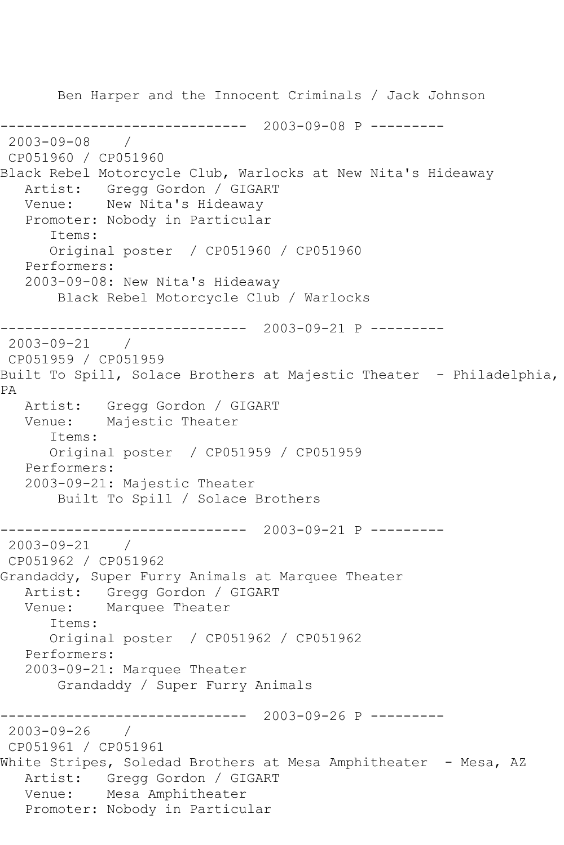Ben Harper and the Innocent Criminals / Jack Johnson ------------------------------ 2003-09-08 P --------- 2003-09-08 / CP051960 / CP051960 Black Rebel Motorcycle Club, Warlocks at New Nita's Hideaway Artist: Gregg Gordon / GIGART Venue: New Nita's Hideaway Promoter: Nobody in Particular Items: Original poster / CP051960 / CP051960 Performers: 2003-09-08: New Nita's Hideaway Black Rebel Motorcycle Club / Warlocks ------------------------------ 2003-09-21 P --------- 2003-09-21 / CP051959 / CP051959 Built To Spill, Solace Brothers at Majestic Theater - Philadelphia, PA Artist: Gregg Gordon / GIGART Venue: Majestic Theater Items: Original poster / CP051959 / CP051959 Performers: 2003-09-21: Majestic Theater Built To Spill / Solace Brothers ------------------------------ 2003-09-21 P --------- 2003-09-21 / CP051962 / CP051962 Grandaddy, Super Furry Animals at Marquee Theater Artist: Gregg Gordon / GIGART<br>Venue: Marquee Theater Marquee Theater Items: Original poster / CP051962 / CP051962 Performers: 2003-09-21: Marquee Theater Grandaddy / Super Furry Animals  $---------2003-09-26 P$  ---------2003-09-26 / CP051961 / CP051961 White Stripes, Soledad Brothers at Mesa Amphitheater - Mesa, AZ Artist: Gregg Gordon / GIGART Venue: Mesa Amphitheater Promoter: Nobody in Particular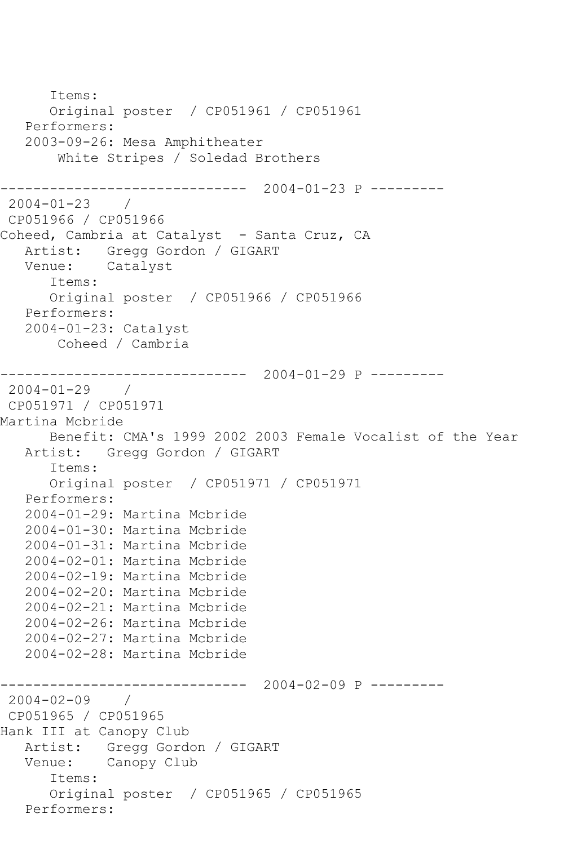```
 Items:
       Original poster / CP051961 / CP051961
    Performers:
    2003-09-26: Mesa Amphitheater
        White Stripes / Soledad Brothers
                    ------------------------------ 2004-01-23 P ---------
2004-01-23 / 
CP051966 / CP051966
Coheed, Cambria at Catalyst - Santa Cruz, CA
   Artist: Gregg Gordon / GIGART<br>Venue: Catalyst
            Catalyst
       Items:
       Original poster / CP051966 / CP051966
    Performers:
    2004-01-23: Catalyst
        Coheed / Cambria
                    ------------------------------ 2004-01-29 P ---------
2004-01-29 / 
CP051971 / CP051971
Martina Mcbride
   Benefit: CMA's 1999 2002 2003 Female Vocalist of the Year<br>Artist: Gregg Gordon / GIGART
             Artist: Gregg Gordon / GIGART
       Items:
       Original poster / CP051971 / CP051971
    Performers:
    2004-01-29: Martina Mcbride
    2004-01-30: Martina Mcbride
    2004-01-31: Martina Mcbride
    2004-02-01: Martina Mcbride
    2004-02-19: Martina Mcbride
    2004-02-20: Martina Mcbride
    2004-02-21: Martina Mcbride
    2004-02-26: Martina Mcbride
    2004-02-27: Martina Mcbride
    2004-02-28: Martina Mcbride
                 ------------------------------ 2004-02-09 P ---------
2004-02-09 / 
CP051965 / CP051965
Hank III at Canopy Club
    Artist: Gregg Gordon / GIGART
    Venue: Canopy Club
       Items:
       Original poster / CP051965 / CP051965
    Performers:
```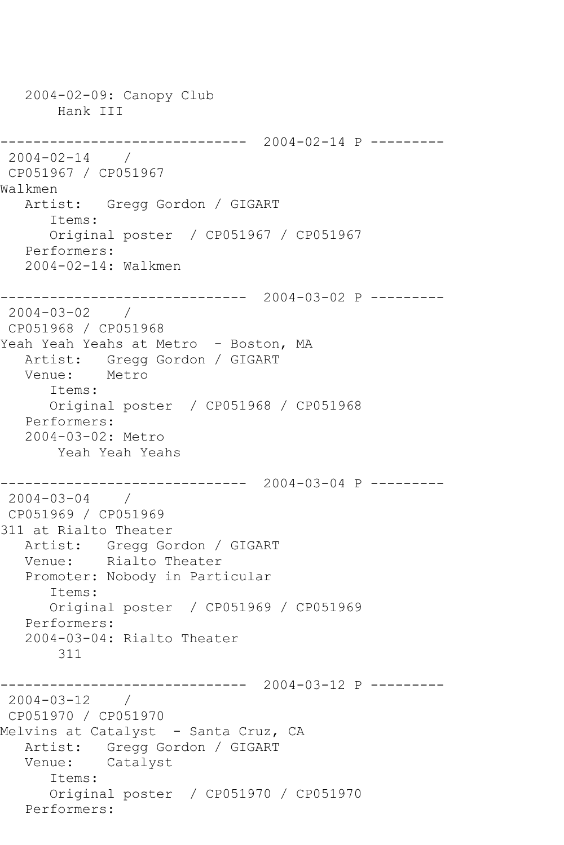```
 2004-02-09: Canopy Club
       Hank III
------------------------------ 2004-02-14 P ---------
2004-02-14 / 
CP051967 / CP051967
Walkmen
   Artist: Gregg Gordon / GIGART
      Items:
      Original poster / CP051967 / CP051967
   Performers:
   2004-02-14: Walkmen
------------------------------ 2004-03-02 P ---------
2004-03-02 / 
CP051968 / CP051968
Yeah Yeah Yeahs at Metro - Boston, MA
   Artist: Gregg Gordon / GIGART
   Venue: Metro
      Items:
      Original poster / CP051968 / CP051968
   Performers:
   2004-03-02: Metro
       Yeah Yeah Yeahs
------------------------------ 2004-03-04 P ---------
2004-03-04 / 
CP051969 / CP051969
311 at Rialto Theater
   Artist: Gregg Gordon / GIGART
   Venue: Rialto Theater
   Promoter: Nobody in Particular
      Items:
      Original poster / CP051969 / CP051969
   Performers:
   2004-03-04: Rialto Theater
       311
------------------------------ 2004-03-12 P ---------
2004 - 03 - 12 /
CP051970 / CP051970
Melvins at Catalyst - Santa Cruz, CA
   Artist: Gregg Gordon / GIGART
   Venue: Catalyst
      Items:
      Original poster / CP051970 / CP051970
   Performers:
```